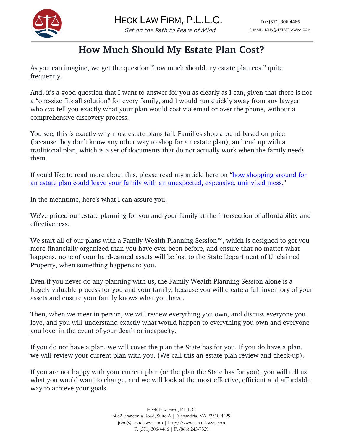

## **How Much Should My Estate Plan Cost?**

As you can imagine, we get the question "how much should my estate plan cost" quite frequently.

And, it's a good question that I want to answer for you as clearly as I can, given that there is not a "one-size fits all solution" for every family, and I would run quickly away from any lawyer who *can* tell you exactly what your plan would cost via email or over the phone, without a comprehensive discovery process.

You see, this is exactly why most estate plans fail. Families shop around based on price (because they don't know any other way to shop for an estate plan), and end up with a traditional plan, which is a set of documents that do not actually work when the family needs them.

If you'd like to read more about this, please read my article here on "how shopping around for an estate plan could leave your family with an unexpected, expensive, uninvited mess."

In the meantime, here's what I can assure you:

We've priced our estate planning for you and your family at the intersection of affordability and effectiveness.

We start all of our plans with a Family Wealth Planning Session™, which is designed to get you more financially organized than you have ever been before, and ensure that no matter what happens, none of your hard-earned assets will be lost to the State Department of Unclaimed Property, when something happens to you.

Even if you never do any planning with us, the Family Wealth Planning Session alone is a hugely valuable process for you and your family, because you will create a full inventory of your assets and ensure your family knows what you have.

Then, when we meet in person, we will review everything you own, and discuss everyone you love, and you will understand exactly what would happen to everything you own and everyone you love, in the event of your death or incapacity.

If you do not have a plan, we will cover the plan the State has for you. If you do have a plan, we will review your current plan with you. (We call this an estate plan review and check-up).

If you are not happy with your current plan (or the plan the State has for you), you will tell us what you would want to change, and we will look at the most effective, efficient and affordable way to achieve your goals.

> Heck Law Firm, P.L.L.C. 6082 Franconia Road, Suite A | Alexandria, VA 22310-4429 john@estatelawva.com | http://www.estatelawva.com P: (571) 306-4466 | F: (866) 245-7529